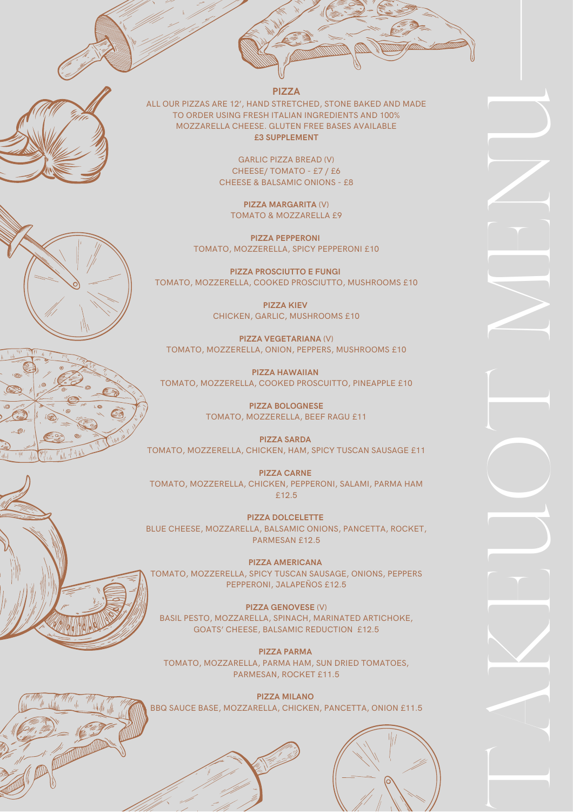



**PIZZA**

ALL OUR PIZZAS ARE 12', HAND STRETCHED, STONE BAKED AND MADE TO ORDER USING FRESH ITALIAN INGREDIENTS AND 100% MOZZARELLA CHEESE. GLUTEN FREE BASES AVAILABLE **£3 SUPPLEMENT**

> GARLIC PIZZA BREAD (V) CHEESE/ TOMATO - £7 / £6 CHEESE & BALSAMIC ONIONS - £8

**PIZZA MARGARITA** (V) TOMATO & MOZZARELLA £9

**PIZZA PEPPERONI** TOMATO, MOZZERELLA, SPICY PEPPERONI £10

**PIZZA PROSCIUTTO E FUNGI** TOMATO, MOZZERELLA, COOKED PROSCIUTTO, MUSHROOMS £10

> **PIZZA KIEV** CHICKEN, GARLIC, MUSHROOMS £10

**PIZZA VEGETARIANA** (V) TOMATO, MOZZERELLA, ONION, PEPPERS, MUSHROOMS £10

**PIZZA HAWAIIAN** TOMATO, MOZZERELLA, COOKED PROSCUITTO, PINEAPPLE £10

> **PIZZA BOLOGNESE** TOMATO, MOZZERELLA, BEEF RAGU £11

**PIZZA SARDA** TOMATO, MOZZERELLA, CHICKEN, HAM, SPICY TUSCAN SAUSAGE £11

**PIZZA CARNE** TOMATO, MOZZERELLA, CHICKEN, PEPPERONI, SALAMI, PARMA HAM £12.5

**PIZZA DOLCELETTE** BLUE CHEESE, MOZZARELLA, BALSAMIC ONIONS, PANCETTA, ROCKET, PARMESAN £12.5

**PIZZA AMERICANA** TOMATO, MOZZERELLA, SPICY TUSCAN SAUSAGE, ONIONS, PEPPERS PEPPERONI, JALAPEÑOS £12.5

**PIZZA GENOVESE** (V) BASIL PESTO, MOZZARELLA, SPINACH, MARINATED ARTICHOKE, GOATS' CHEESE, BALSAMIC REDUCTION £12.5

**PIZZA PARMA** TOMATO, MOZZARELLA, PARMA HAM, SUN DRIED TOMATOES, PARMESAN, ROCKET £11.5

**PIZZA MILANO** BBQ SAUCE BASE, MOZZARELLA, CHICKEN, PANCETTA, ONION £11.5





 $\begin{bmatrix} \phantom{-}\end{bmatrix}$ 

A

 $\geq$ 

E

 $\overrightarrow{ }$ 

O

 $\begin{bmatrix} \phantom{-} \end{bmatrix}$ 

M

E

N

 $\overrightarrow{ }$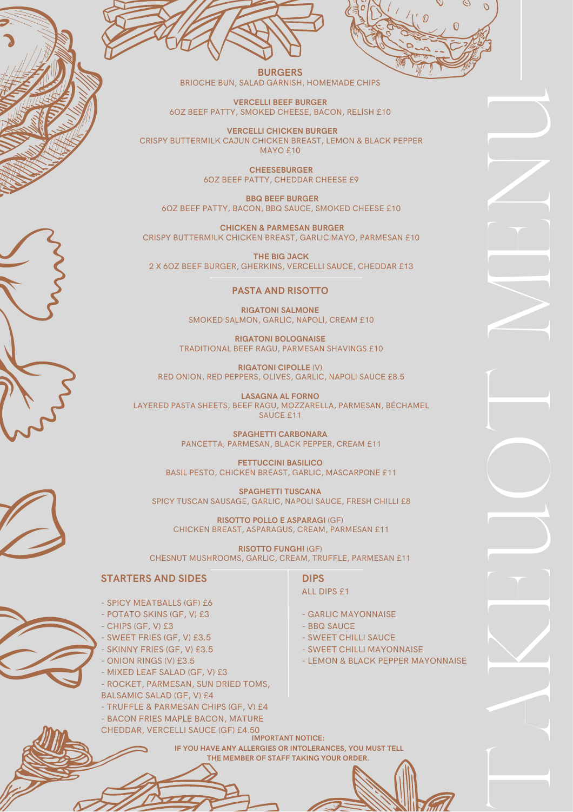



**BURGERS** BRIOCHE BUN, SALAD GARNISH, HOMEMADE CHIPS

**VERCELLI BEEF BURGER** 6OZ BEEF PATTY, SMOKED CHEESE, BACON, RELISH £10

 **VERCELLI CHICKEN BURGER** CRISPY BUTTERMILK CAJUN CHICKEN BREAST, LEMON & BLACK PEPPER MAYO £10

> **CHEESEBURGER** 6OZ BEEF PATTY, CHEDDAR CHEESE £9

 **BBQ BEEF BURGER** 6OZ BEEF PATTY, BACON, BBQ SAUCE, SMOKED CHEESE £10

**CHICKEN & PARMESAN BURGER** CRISPY BUTTERMILK CHICKEN BREAST, GARLIC MAYO, PARMESAN £10

**THE BIG JACK** 2 X 6OZ BEEF BURGER, GHERKINS, VERCELLI SAUCE, CHEDDAR £13

## **PASTA AND RISOTTO**

**RIGATONI SALMONE** SMOKED SALMON, GARLIC, NAPOLI, CREAM £10

**RIGATONI BOLOGNAISE** TRADITIONAL BEEF RAGU, PARMESAN SHAVINGS £10

**RIGATONI CIPOLLE** (V) RED ONION, RED PEPPERS, OLIVES, GARLIC, NAPOLI SAUCE £8.5

**LASAGNA AL FORNO** LAYERED PASTA SHEETS, BEEF RAGU, MOZZARELLA, PARMESAN, BÉCHAMEL SAUCE £11

> **SPAGHETTI CARBONARA** PANCETTA, PARMESAN, BLACK PEPPER, CREAM £11

**FETTUCCINI BASILICO** BASIL PESTO, CHICKEN BREAST, GARLIC, MASCARPONE £11

**SPAGHETTI TUSCANA** SPICY TUSCAN SAUSAGE, GARLIC, NAPOLI SAUCE, FRESH CHILLI £8

**RISOTTO POLLO E ASPARAGI** (GF) CHICKEN BREAST, ASPARAGUS, CREAM, PARMESAN £11

**RISOTTO FUNGHI** (GF) CHESNUT MUSHROOMS, GARLIC, CREAM, TRUFFLE, PARMESAN £11

## **STARTERS AND SIDES**

- SPICY MEATBALLS (GF) £6

- POTATO SKINS (GF, V) £3
- CHIPS (GF, V) £3
- SWEET FRIES (GF, V) £3.5
	- SKINNY FRIES (GF, V) £3.5
- ONION RINGS (V) £3.5
- MIXED LEAF SALAD (GF, V) £3
- ROCKET, PARMESAN, SUN DRIED TOMS, BALSAMIC SALAD (GF, V) £4
- TRUFFLE & PARMESAN CHIPS (GF, V) £4
- BACON FRIES MAPLE BACON, MATURE
- CHEDDAR, VERCELLI SAUCE (GF) £4.50

**DIPS** ALL DIPS £1

- GARLIC MAYONNAISE
- BBQ SAUCE
- SWEET CHILLI SAUCE
- SWEET CHILLI MAYONNAISE
- LEMON & BLACK PEPPER MAYONNAISE

 $\begin{bmatrix} \phantom{-}\end{bmatrix}$ 

A

 $\geq$ 

E

 $\overrightarrow{ }$ 

O

 $\begin{bmatrix} \phantom{-} \end{bmatrix}$ 

M

E

N

 $\overrightarrow{ }$ 

**IMPORTANT NOTICE: IF YOU HAVE ANY ALLERGIES OR INTOLERANCES, YOU MUST TELL THE MEMBER OF STAFF TAKING YOUR ORDER.**